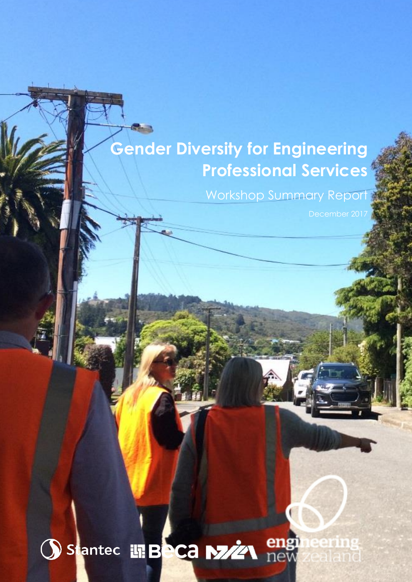# **Gender Diversity for Engineering Professional Services**

Workshop Summary Report

teerin

## en Stantec 讯BeCa M22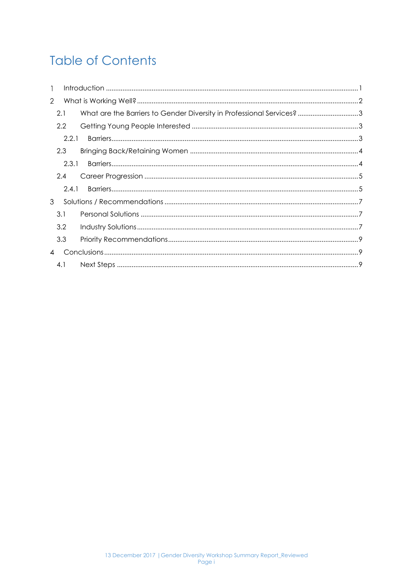## **Table of Contents**

| $\mathbf{1}$   |       |                                                                       |  |
|----------------|-------|-----------------------------------------------------------------------|--|
| $\overline{2}$ |       |                                                                       |  |
|                | 2.1   | What are the Barriers to Gender Diversity in Professional Services? 3 |  |
|                | 2.2   |                                                                       |  |
|                | 2.2.1 |                                                                       |  |
|                | 2.3   |                                                                       |  |
|                | 2.3.1 |                                                                       |  |
|                | 2.4   |                                                                       |  |
|                | 2.4.1 |                                                                       |  |
| 3              |       |                                                                       |  |
|                | 3.1   |                                                                       |  |
|                | 3.2   |                                                                       |  |
|                | 3.3   |                                                                       |  |
| $\overline{4}$ |       |                                                                       |  |
|                | 4.1   |                                                                       |  |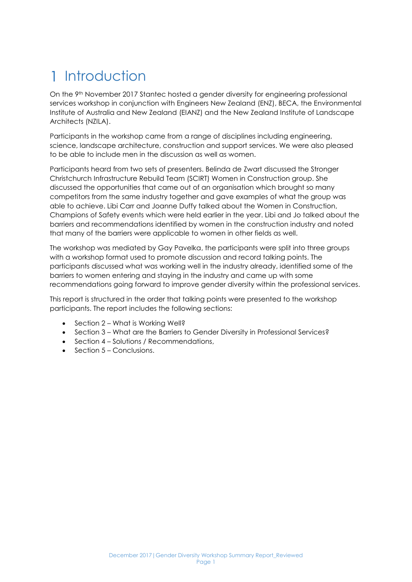# <span id="page-2-0"></span>1 Introduction

On the 9<sup>th</sup> November 2017 Stantec hosted a gender diversity for engineering professional services workshop in conjunction with Engineers New Zealand (ENZ), BECA, the Environmental Institute of Australia and New Zealand (EIANZ) and the New Zealand Institute of Landscape Architects (NZILA).

Participants in the workshop came from a range of disciplines including engineering, science, landscape architecture, construction and support services. We were also pleased to be able to include men in the discussion as well as women.

Participants heard from two sets of presenters. Belinda de Zwart discussed the Stronger Christchurch Infrastructure Rebuild Team (SCIRT) Women in Construction group. She discussed the opportunities that came out of an organisation which brought so many competitors from the same industry together and gave examples of what the group was able to achieve. Libi Carr and Joanne Duffy talked about the Women in Construction, Champions of Safety events which were held earlier in the year. Libi and Jo talked about the barriers and recommendations identified by women in the construction industry and noted that many of the barriers were applicable to women in other fields as well.

The workshop was mediated by Gay Pavelka, the participants were split into three groups with a workshop format used to promote discussion and record talking points. The participants discussed what was working well in the industry already, identified some of the barriers to women entering and staying in the industry and came up with some recommendations going forward to improve gender diversity within the professional services.

This report is structured in the order that talking points were presented to the workshop participants. The report includes the following sections:

- Section 2 What is Working Well?
- Section 3 What are the Barriers to Gender Diversity in Professional Services?
- Section 4 Solutions / Recommendations,
- $\bullet$  Section 5 Conclusions.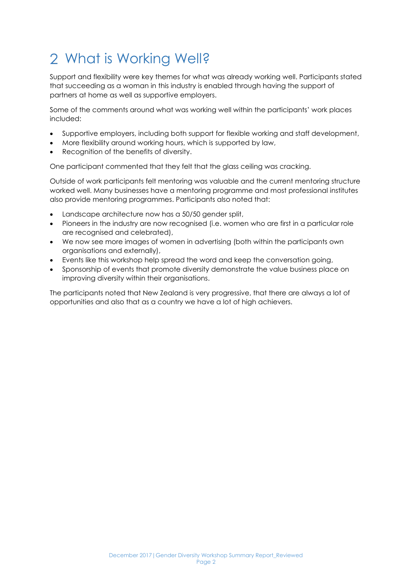# <span id="page-3-0"></span>What is Working Well?

Support and flexibility were key themes for what was already working well. Participants stated that succeeding as a woman in this industry is enabled through having the support of partners at home as well as supportive employers.

Some of the comments around what was working well within the participants' work places included:

- Supportive employers, including both support for flexible working and staff development,
- More flexibility around working hours, which is supported by law,
- Recognition of the benefits of diversity.

One participant commented that they felt that the glass ceiling was cracking.

Outside of work participants felt mentoring was valuable and the current mentoring structure worked well. Many businesses have a mentoring programme and most professional institutes also provide mentoring programmes. Participants also noted that:

- Landscape architecture now has a 50/50 gender split,
- Pioneers in the industry are now recognised (i.e. women who are first in a particular role are recognised and celebrated),
- We now see more images of women in advertising (both within the participants own organisations and externally),
- Events like this workshop help spread the word and keep the conversation going,
- Sponsorship of events that promote diversity demonstrate the value business place on improving diversity within their organisations.

The participants noted that New Zealand is very progressive, that there are always a lot of opportunities and also that as a country we have a lot of high achievers.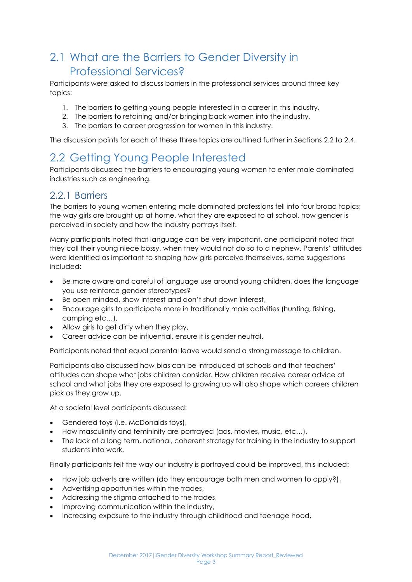## <span id="page-4-0"></span>2.1 What are the Barriers to Gender Diversity in Professional Services?

Participants were asked to discuss barriers in the professional services around three key topics:

- 1. The barriers to getting young people interested in a career in this industry,
- 2. The barriers to retaining and/or bringing back women into the industry,
- 3. The barriers to career progression for women in this industry.

The discussion points for each of these three topics are outlined further in Sections [2.2](#page-4-1) to [2.4.](#page-6-0)

## <span id="page-4-1"></span>2.2 Getting Young People Interested

Participants discussed the barriers to encouraging young women to enter male dominated industries such as engineering.

### <span id="page-4-2"></span>2.2.1 Barriers

The barriers to young women entering male dominated professions fell into four broad topics; the way girls are brought up at home, what they are exposed to at school, how gender is perceived in society and how the industry portrays itself.

Many participants noted that language can be very important, one participant noted that they call their young niece bossy, when they would not do so to a nephew. Parents' attitudes were identified as important to shaping how girls perceive themselves, some suggestions included:

- Be more aware and careful of language use around young children, does the language you use reinforce gender stereotypes?
- Be open minded, show interest and don't shut down interest,
- Encourage girls to participate more in traditionally male activities (hunting, fishing, camping etc…),
- Allow girls to get dirty when they play,
- Career advice can be influential, ensure it is gender neutral.

Participants noted that equal parental leave would send a strong message to children.

Participants also discussed how bias can be introduced at schools and that teachers' attitudes can shape what jobs children consider. How children receive career advice at school and what jobs they are exposed to growing up will also shape which careers children pick as they grow up.

At a societal level participants discussed:

- Gendered toys (i.e. McDonalds toys),
- How masculinity and femininity are portrayed (ads, movies, music, etc…),
- The lack of a long term, national, coherent strategy for training in the industry to support students into work.

Finally participants felt the way our industry is portrayed could be improved, this included:

- How job adverts are written (do they encourage both men and women to apply?),
- Advertising opportunities within the trades,
- Addressing the stigma attached to the trades,
- Improving communication within the industry,
- Increasing exposure to the industry through childhood and teenage hood,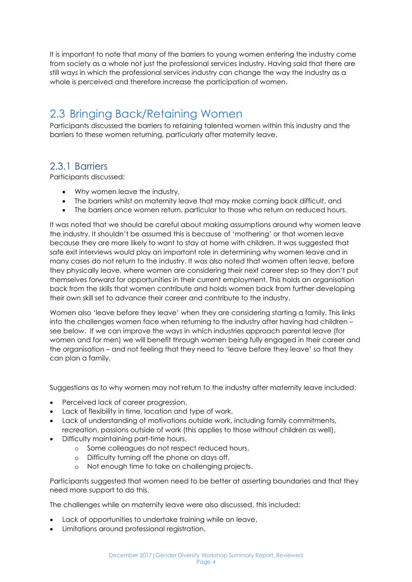It is important to note that many of the barriers to young women entering the industry come from society as a whole not just the professional services industry. Having said that there are still ways in which the professional services industry can change the way the industry as a whole is perceived and therefore increase the participation of women.

### <span id="page-5-0"></span>2.3 Bringing Back/Retaining Women

Participants discussed the barriers to retaining talented women within this industry and the barriers to these women returning, particularly after maternity leave.

### <span id="page-5-1"></span>2.3.1 Barriers

Participants discussed:

- Why women leave the industry,
- The barriers whilst on maternity leave that may make coming back difficult, and
- The barriers once women return, particular to those who return on reduced hours.

It was noted that we should be careful about making assumptions around why women leave the industry. It shouldn't be assumed this is because of 'mothering' or that women leave because they are more likely to want to stay at home with children. It was suggested that safe exit interviews would play an important role in determining why women leave and in many cases do not return to the industry. It was also noted that women often leave, before they physically leave, where women are considering their next career step so they don't put themselves forward for opportunities in their current employment. This holds an organisation back from the skills that women contribute and holds women back from further developing their own skill set to advance their career and contribute to the industry.

Women also 'leave before they leave' when they are considering starting a family. This links into the challenges women face when returning to the industry after having had children – see below. If we can improve the ways in which industries approach parental leave (for women and for men) we will benefit through women being fully engaged in their career and the organisation – and not feeling that they need to 'leave before they leave' so that they can plan a family.

Suggestions as to why women may not return to the industry after maternity leave included:

- Perceived lack of career progression,
- Lack of flexibility in time, location and type of work,
- Lack of understanding of motivations outside work, including family commitments, recreation, passions outside of work (this applies to those without children as well),
- Difficulty maintaining part-time hours,
	- o Some colleagues do not respect reduced hours,
	- o Difficulty turning off the phone on days off,
	- o Not enough time to take on challenging projects.

Participants suggested that women need to be better at asserting boundaries and that they need more support to do this.

The challenges while on maternity leave were also discussed, this included:

- Lack of opportunities to undertake training while on leave,
- Limitations around professional registration,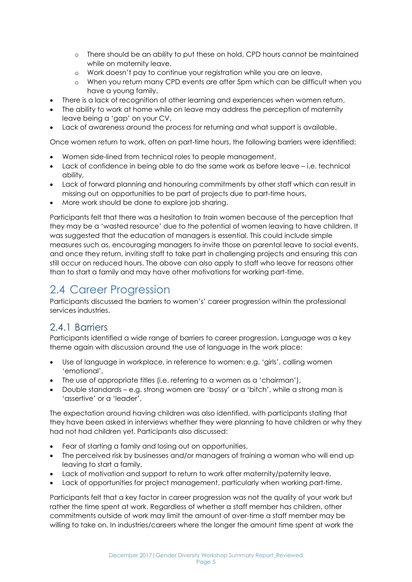- o There should be an ability to put these on hold, CPD hours cannot be maintained while on maternity leave,
- o Work doesn't pay to continue your registration while you are on leave,
- o When you return many CPD events are after 5pm which can be difficult when you have a young family,
- There is a lack of recognition of other learning and experiences when women return,
- The ability to work at home while on leave may address the perception of maternity leave being a 'gap' on your CV,
- Lack of awareness around the process for returning and what support is available.

Once women return to work, often on part-time hours, the following barriers were identified:

- Women side-lined from technical roles to people management,
- Lack of confidence in being able to do the same work as before leave i.e. technical ability,
- Lack of forward planning and honouring commitments by other staff which can result in missing out on opportunities to be part of projects due to part-time hours,
- More work should be done to explore job sharing.

Participants felt that there was a hesitation to train women because of the perception that they may be a 'wasted resource' due to the potential of women leaving to have children. It was suggested that the education of managers is essential. This could include simple measures such as, encouraging managers to invite those on parental leave to social events, and once they return, inviting staff to take part in challenging projects and ensuring this can still occur on reduced hours. The above can also apply to staff who leave for reasons other than to start a family and may have other motivations for working part-time.

### <span id="page-6-0"></span>2.4 Career Progression

Participants discussed the barriers to women's' career progression within the professional services industries.

#### <span id="page-6-1"></span>2.4.1 Barriers

Participants identified a wide range of barriers to career progression. Language was a key theme again with discussion around the use of language in the work place:

- Use of language in workplace, in reference to women: e.g. 'girls', calling women 'emotional',
- The use of appropriate titles (i,e. referring to a women as a 'chairman'),
- Double standards e.g. strong women are 'bossy' or a 'bitch', while a strong man is 'assertive' or a 'leader'.

The expectation around having children was also identified, with participants stating that they have been asked in interviews whether they were planning to have children or why they had not had children yet. Participants also discussed:

- Fear of starting a family and losing out on opportunities,
- The perceived risk by businesses and/or managers of training a woman who will end up leaving to start a family,
- Lack of motivation and support to return to work after maternity/paternity leave,
- Lack of opportunities for project management, particularly when working part-time.

Participants felt that a key factor in career progression was not the quality of your work but rather the time spent at work. Regardless of whether a staff member has children, other commitments outside of work may limit the amount of over-time a staff member may be willing to take on. In industries/careers where the longer the amount time spent at work the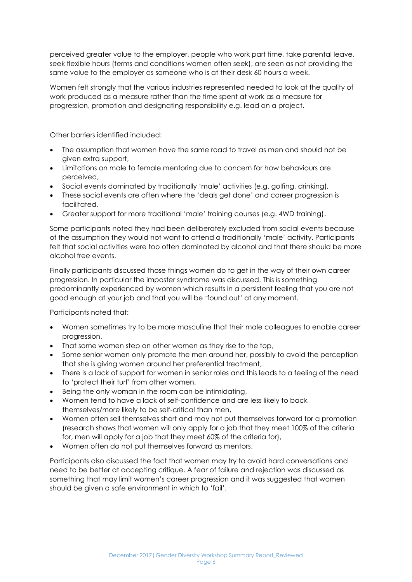perceived greater value to the employer, people who work part time, take parental leave, seek flexible hours (terms and conditions women often seek), are seen as not providing the same value to the employer as someone who is at their desk 60 hours a week.

Women felt strongly that the various industries represented needed to look at the quality of work produced as a measure rather than the time spent at work as a measure for progression, promotion and designating responsibility e.g. lead on a project.

Other barriers identified included:

- The assumption that women have the same road to travel as men and should not be given extra support,
- Limitations on male to female mentoring due to concern for how behaviours are perceived,
- Social events dominated by traditionally 'male' activities (e.g. golfing, drinking),
- These social events are often where the 'deals get done' and career progression is facilitated,
- Greater support for more traditional 'male' training courses (e.g. 4WD training).

Some participants noted they had been deliberately excluded from social events because of the assumption they would not want to attend a traditionally 'male' activity. Participants felt that social activities were too often dominated by alcohol and that there should be more alcohol free events.

Finally participants discussed those things women do to get in the way of their own career progression. In particular the imposter syndrome was discussed. This is something predominantly experienced by women which results in a persistent feeling that you are not good enough at your job and that you will be 'found out' at any moment.

Participants noted that:

- Women sometimes try to be more masculine that their male colleagues to enable career progression,
- That some women step on other women as they rise to the top,
- Some senior women only promote the men around her, possibly to avoid the perception that she is giving women around her preferential treatment,
- There is a lack of support for women in senior roles and this leads to a feeling of the need to 'protect their turf' from other women,
- Being the only woman in the room can be intimidating,
- Women tend to have a lack of self-confidence and are less likely to back themselves/more likely to be self-critical than men,
- Women often sell themselves short and may not put themselves forward for a promotion (research shows that women will only apply for a job that they meet 100% of the criteria for, men will apply for a job that they meet 60% of the criteria for),
- Women often do not put themselves forward as mentors.

Participants also discussed the fact that women may try to avoid hard conversations and need to be better at accepting critique. A fear of failure and rejection was discussed as something that may limit women's career progression and it was suggested that women should be given a safe environment in which to 'fail'.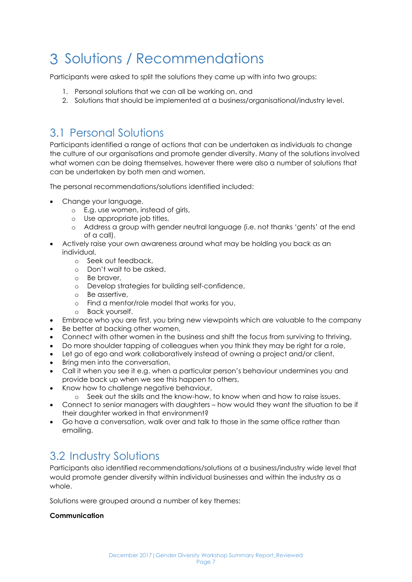# <span id="page-8-0"></span>3 Solutions / Recommendations

Participants were asked to split the solutions they came up with into two groups:

- 1. Personal solutions that we can all be working on, and
- 2. Solutions that should be implemented at a business/organisational/industry level.

## <span id="page-8-1"></span>3.1 Personal Solutions

Participants identified a range of actions that can be undertaken as individuals to change the culture of our organisations and promote gender diversity. Many of the solutions involved what women can be doing themselves, however there were also a number of solutions that can be undertaken by both men and women.

The personal recommendations/solutions identified included:

- Change your language,
	- o E.g. use women, instead of girls,
	- o Use appropriate job titles,
	- o Address a group with gender neutral language (i.e. not thanks 'gents' at the end of a call).
- Actively raise your own awareness around what may be holding you back as an individual,
	- o Seek out feedback,
	- o Don't wait to be asked,
	- o Be braver,
	- o Develop strategies for building self-confidence,
	- o Be assertive,
	- o Find a mentor/role model that works for you,
	- o Back yourself.
- Embrace who you are first, you bring new viewpoints which are valuable to the company
- Be better at backing other women,
- Connect with other women in the business and shift the focus from surviving to thriving,
- Do more shoulder tapping of colleagues when you think they may be right for a role,
- Let go of ego and work collaboratively instead of owning a project and/or client,
- Bring men into the conversation,
- Call it when you see it e.g. when a particular person's behaviour undermines you and provide back up when we see this happen to others,
- Know how to challenge negative behaviour,
	- o Seek out the skills and the know-how, to know when and how to raise issues.
- Connect to senior managers with daughters how would they want the situation to be if their daughter worked in that environment?
- Go have a conversation, walk over and talk to those in the same office rather than emailing.

### <span id="page-8-2"></span>3.2 Industry Solutions

Participants also identified recommendations/solutions at a business/industry wide level that would promote gender diversity within individual businesses and within the industry as a whole.

Solutions were grouped around a number of key themes:

#### **Communication**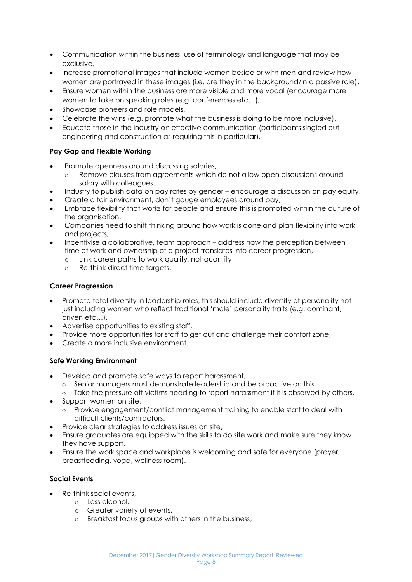- Communication within the business, use of terminology and language that may be exclusive,
- Increase promotional images that include women beside or with men and review how women are portrayed in these images (i.e. are they in the background/in a passive role),
- Ensure women within the business are more visible and more vocal (encourage more women to take on speaking roles (e.g. conferences etc…),
- Showcase pioneers and role models,
- Celebrate the wins (e.g. promote what the business is doing to be more inclusive),
- Educate those in the industry on effective communication (participants singled out engineering and construction as requiring this in particular).

#### **Pay Gap and Flexible Working**

- Promote openness around discussing salaries,
	- o Remove clauses from agreements which do not allow open discussions around salary with colleagues.
- Industry to publish data on pay rates by gender encourage a discussion on pay equity,
- Create a fair environment, don't gauge employees around pay,
- Embrace flexibility that works for people and ensure this is promoted within the culture of the organisation,
- Companies need to shift thinking around how work is done and plan flexibility into work and projects,
- Incentivise a collaborative, team approach address how the perception between time at work and ownership of a project translates into career progression,
	- o Link career paths to work quality, not quantity,
	- o Re-think direct time targets.

#### **Career Progression**

- Promote total diversity in leadership roles, this should include diversity of personality not just including women who reflect traditional 'male' personality traits (e.g. dominant, driven etc…),
- Advertise opportunities to existing staff,
- Provide more opportunities for staff to get out and challenge their comfort zone,
- Create a more inclusive environment.

#### **Safe Working Environment**

- Develop and promote safe ways to report harassment,
	- o Senior managers must demonstrate leadership and be proactive on this,
	- o Take the pressure off victims needing to report harassment if it is observed by others.
- Support women on site,
	- o Provide engagement/conflict management training to enable staff to deal with difficult clients/contractors.
- Provide clear strategies to address issues on site,
- Ensure graduates are equipped with the skills to do site work and make sure they know they have support,
- Ensure the work space and workplace is welcoming and safe for everyone (prayer, breastfeeding, yoga, wellness room).

#### **Social Events**

- Re-think social events,
	- o Less alcohol,
	- o Greater variety of events,
	- o Breakfast focus groups with others in the business,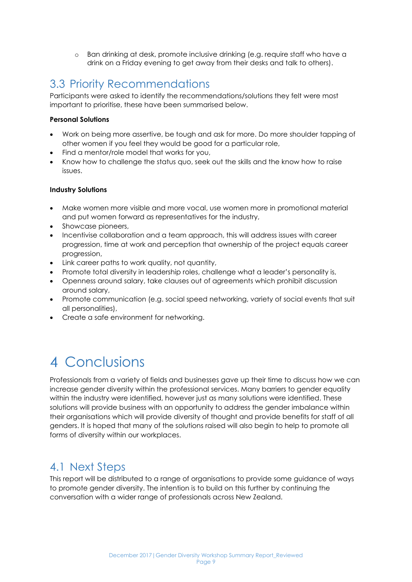o Ban drinking at desk, promote inclusive drinking (e.g. require staff who have a drink on a Friday evening to get away from their desks and talk to others).

### <span id="page-10-0"></span>3.3 Priority Recommendations

Participants were asked to identify the recommendations/solutions they felt were most important to prioritise, these have been summarised below.

#### **Personal Solutions**

- Work on being more assertive, be tough and ask for more. Do more shoulder tapping of other women if you feel they would be good for a particular role,
- Find a mentor/role model that works for you,
- Know how to challenge the status quo, seek out the skills and the know how to raise issues.

#### **Industry Solutions**

- Make women more visible and more vocal, use women more in promotional material and put women forward as representatives for the industry,
- Showcase pioneers,
- Incentivise collaboration and a team approach, this will address issues with career progression, time at work and perception that ownership of the project equals career progression,
- Link career paths to work quality, not quantity,
- Promote total diversity in leadership roles, challenge what a leader's personality is,
- Openness around salary, take clauses out of agreements which prohibit discussion around salary,
- Promote communication (e.g. social speed networking, variety of social events that suit all personalities),
- Create a safe environment for networking.

## <span id="page-10-1"></span>4 Conclusions

Professionals from a variety of fields and businesses gave up their time to discuss how we can increase gender diversity within the professional services. Many barriers to gender equality within the industry were identified, however just as many solutions were identified. These solutions will provide business with an opportunity to address the gender imbalance within their organisations which will provide diversity of thought and provide benefits for staff of all genders. It is hoped that many of the solutions raised will also begin to help to promote all forms of diversity within our workplaces.

### <span id="page-10-2"></span>4.1 Next Steps

This report will be distributed to a range of organisations to provide some guidance of ways to promote gender diversity. The intention is to build on this further by continuing the conversation with a wider range of professionals across New Zealand.